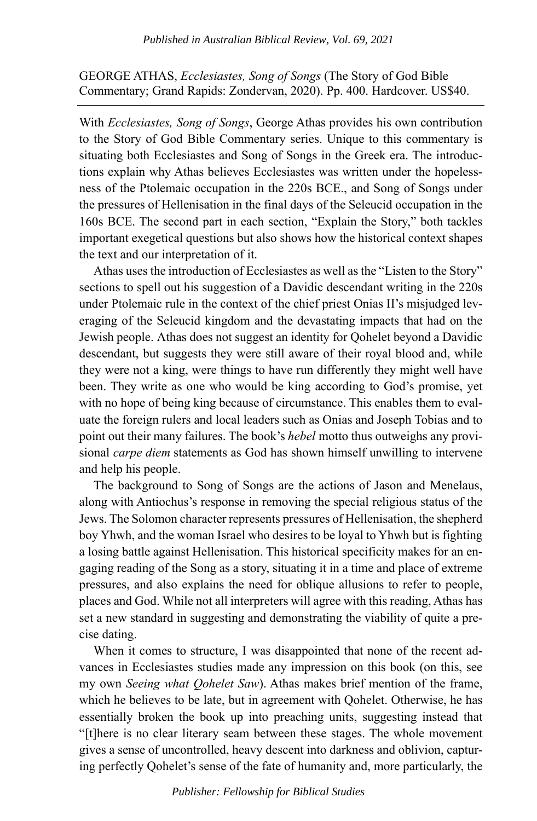GEORGE ATHAS, *Ecclesiastes, Song of Songs* (The Story of God Bible Commentary; Grand Rapids: Zondervan, 2020). Pp. 400. Hardcover. US\$40.

With *Ecclesiastes, Song of Songs*, George Athas provides his own contribution to the Story of God Bible Commentary series. Unique to this commentary is situating both Ecclesiastes and Song of Songs in the Greek era. The introductions explain why Athas believes Ecclesiastes was written under the hopelessness of the Ptolemaic occupation in the 220s BCE., and Song of Songs under the pressures of Hellenisation in the final days of the Seleucid occupation in the 160s BCE. The second part in each section, "Explain the Story," both tackles important exegetical questions but also shows how the historical context shapes the text and our interpretation of it.

Athas uses the introduction of Ecclesiastes as well as the "Listen to the Story" sections to spell out his suggestion of a Davidic descendant writing in the 220s under Ptolemaic rule in the context of the chief priest Onias II's misjudged leveraging of the Seleucid kingdom and the devastating impacts that had on the Jewish people. Athas does not suggest an identity for Qohelet beyond a Davidic descendant, but suggests they were still aware of their royal blood and, while they were not a king, were things to have run differently they might well have been. They write as one who would be king according to God's promise, yet with no hope of being king because of circumstance. This enables them to evaluate the foreign rulers and local leaders such as Onias and Joseph Tobias and to point out their many failures. The book's *hebel* motto thus outweighs any provisional *carpe diem* statements as God has shown himself unwilling to intervene and help his people.

The background to Song of Songs are the actions of Jason and Menelaus, along with Antiochus's response in removing the special religious status of the Jews. The Solomon character represents pressures of Hellenisation, the shepherd boy Yhwh, and the woman Israel who desires to be loyal to Yhwh but is fighting a losing battle against Hellenisation. This historical specificity makes for an engaging reading of the Song as a story, situating it in a time and place of extreme pressures, and also explains the need for oblique allusions to refer to people, places and God. While not all interpreters will agree with this reading, Athas has set a new standard in suggesting and demonstrating the viability of quite a precise dating.

When it comes to structure, I was disappointed that none of the recent advances in Ecclesiastes studies made any impression on this book (on this, see my own *Seeing what Qohelet Saw*). Athas makes brief mention of the frame, which he believes to be late, but in agreement with Qohelet. Otherwise, he has essentially broken the book up into preaching units, suggesting instead that "[t]here is no clear literary seam between these stages. The whole movement gives a sense of uncontrolled, heavy descent into darkness and oblivion, capturing perfectly Qohelet's sense of the fate of humanity and, more particularly, the